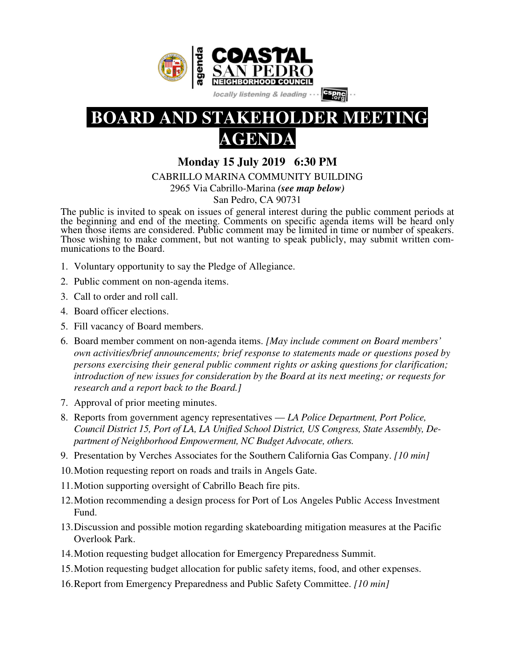



# **AGENDA**

**Monday 15 July 2019 6:30 PM** 

CABRILLO MARINA COMMUNITY BUILDING

2965 Via Cabrillo-Marina *(see map below)*

San Pedro, CA 90731

The public is invited to speak on issues of general interest during the public comment periods at the beginning and end of the meeting. Comments on specific agenda items will be heard only when those items are considered. Public comment may be limited in time or number of speakers. Those wishing to make comment, but not wanting to speak publicly, may submit written communications to the Board.

- 1. Voluntary opportunity to say the Pledge of Allegiance.
- 2. Public comment on non-agenda items.
- 3. Call to order and roll call.
- 4. Board officer elections.
- 5. Fill vacancy of Board members.
- 6. Board member comment on non-agenda items. *[May include comment on Board members' own activities/brief announcements; brief response to statements made or questions posed by persons exercising their general public comment rights or asking questions for clarification; introduction of new issues for consideration by the Board at its next meeting; or requests for research and a report back to the Board.]*
- 7. Approval of prior meeting minutes.
- 8. Reports from government agency representatives *LA Police Department, Port Police, Council District 15, Port of LA, LA Unified School District, US Congress, State Assembly, Department of Neighborhood Empowerment, NC Budget Advocate, others.*
- 9. Presentation by Verches Associates for the Southern California Gas Company. *[10 min]*
- 10.Motion requesting report on roads and trails in Angels Gate.
- 11.Motion supporting oversight of Cabrillo Beach fire pits.
- 12.Motion recommending a design process for Port of Los Angeles Public Access Investment Fund.
- 13.Discussion and possible motion regarding skateboarding mitigation measures at the Pacific Overlook Park.
- 14.Motion requesting budget allocation for Emergency Preparedness Summit.
- 15.Motion requesting budget allocation for public safety items, food, and other expenses.
- 16.Report from Emergency Preparedness and Public Safety Committee. *[10 min]*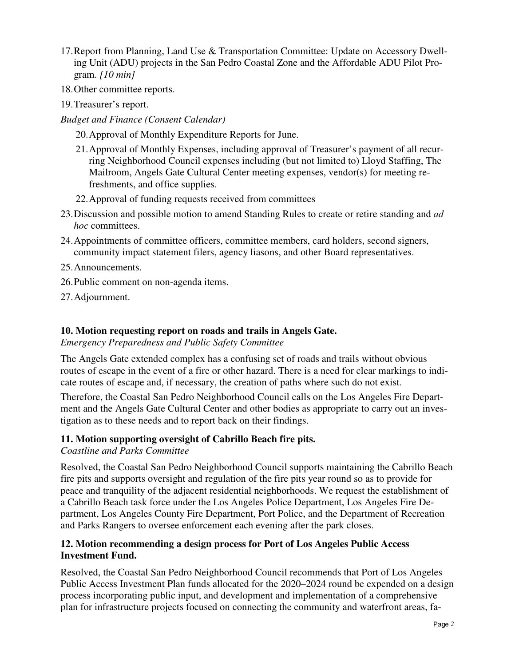- 17.Report from Planning, Land Use & Transportation Committee: Update on Accessory Dwelling Unit (ADU) projects in the San Pedro Coastal Zone and the Affordable ADU Pilot Program. *[10 min]*
- 18.Other committee reports.
- 19.Treasurer's report.
- *Budget and Finance (Consent Calendar)*

20.Approval of Monthly Expenditure Reports for June.

- 21.Approval of Monthly Expenses, including approval of Treasurer's payment of all recurring Neighborhood Council expenses including (but not limited to) Lloyd Staffing, The Mailroom, Angels Gate Cultural Center meeting expenses, vendor(s) for meeting refreshments, and office supplies.
- 22.Approval of funding requests received from committees
- 23.Discussion and possible motion to amend Standing Rules to create or retire standing and *ad hoc* committees.
- 24.Appointments of committee officers, committee members, card holders, second signers, community impact statement filers, agency liasons, and other Board representatives.
- 25.Announcements.
- 26.Public comment on non-agenda items.
- 27.Adjournment.

### **10. Motion requesting report on roads and trails in Angels Gate.**

*Emergency Preparedness and Public Safety Committee* 

The Angels Gate extended complex has a confusing set of roads and trails without obvious routes of escape in the event of a fire or other hazard. There is a need for clear markings to indicate routes of escape and, if necessary, the creation of paths where such do not exist.

Therefore, the Coastal San Pedro Neighborhood Council calls on the Los Angeles Fire Department and the Angels Gate Cultural Center and other bodies as appropriate to carry out an investigation as to these needs and to report back on their findings.

#### **11. Motion supporting oversight of Cabrillo Beach fire pits.**

*Coastline and Parks Committee*

Resolved, the Coastal San Pedro Neighborhood Council supports maintaining the Cabrillo Beach fire pits and supports oversight and regulation of the fire pits year round so as to provide for peace and tranquility of the adjacent residential neighborhoods. We request the establishment of a Cabrillo Beach task force under the Los Angeles Police Department, Los Angeles Fire Department, Los Angeles County Fire Department, Port Police, and the Department of Recreation and Parks Rangers to oversee enforcement each evening after the park closes.

#### **12. Motion recommending a design process for Port of Los Angeles Public Access Investment Fund.**

Resolved, the Coastal San Pedro Neighborhood Council recommends that Port of Los Angeles Public Access Investment Plan funds allocated for the 2020–2024 round be expended on a design process incorporating public input, and development and implementation of a comprehensive plan for infrastructure projects focused on connecting the community and waterfront areas, fa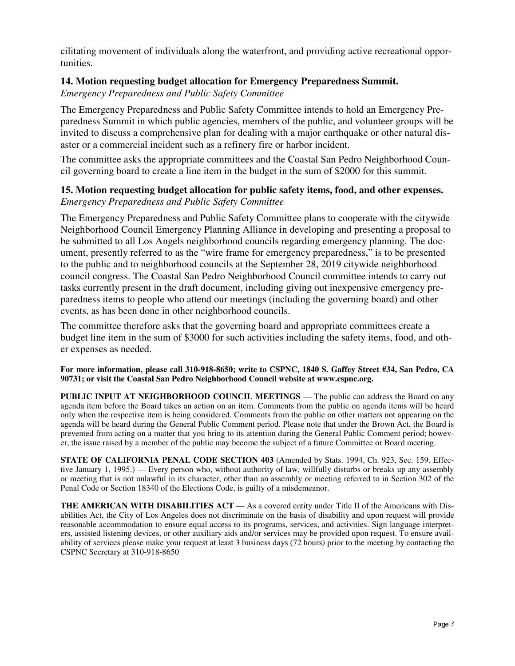cilitating movement of individuals along the waterfront, and providing active recreational opportunities.

# **14. Motion requesting budget allocation for Emergency Preparedness Summit.**

*Emergency Preparedness and Public Safety Committee* 

The Emergency Preparedness and Public Safety Committee intends to hold an Emergency Preparedness Summit in which public agencies, members of the public, and volunteer groups will be invited to discuss a comprehensive plan for dealing with a major earthquake or other natural disaster or a commercial incident such as a refinery fire or harbor incident.

The committee asks the appropriate committees and the Coastal San Pedro Neighborhood Council governing board to create a line item in the budget in the sum of \$2000 for this summit.

## **15. Motion requesting budget allocation for public safety items, food, and other expenses.** *Emergency Preparedness and Public Safety Committee*

The Emergency Preparedness and Public Safety Committee plans to cooperate with the citywide Neighborhood Council Emergency Planning Alliance in developing and presenting a proposal to be submitted to all Los Angels neighborhood councils regarding emergency planning. The document, presently referred to as the "wire frame for emergency preparedness," is to be presented to the public and to neighborhood councils at the September 28, 2019 citywide neighborhood council congress. The Coastal San Pedro Neighborhood Council committee intends to carry out tasks currently present in the draft document, including giving out inexpensive emergency preparedness items to people who attend our meetings (including the governing board) and other events, as has been done in other neighborhood councils.

The committee therefore asks that the governing board and appropriate committees create a budget line item in the sum of \$3000 for such activities including the safety items, food, and other expenses as needed.

**For more information, please call 310-918-8650; write to CSPNC, 1840 S. Gaffey Street #34, San Pedro, CA 90731; or visit the Coastal San Pedro Neighborhood Council website at www.cspnc.org.** 

**PUBLIC INPUT AT NEIGHBORHOOD COUNCIL MEETINGS** — The public can address the Board on any agenda item before the Board takes an action on an item. Comments from the public on agenda items will be heard only when the respective item is being considered. Comments from the public on other matters not appearing on the agenda will be heard during the General Public Comment period. Please note that under the Brown Act, the Board is prevented from acting on a matter that you bring to its attention during the General Public Comment period; however, the issue raised by a member of the public may become the subject of a future Committee or Board meeting.

**STATE OF CALIFORNIA PENAL CODE SECTION 403** (Amended by Stats. 1994, Ch. 923, Sec. 159. Effective January 1, 1995.) — Every person who, without authority of law, willfully disturbs or breaks up any assembly or meeting that is not unlawful in its character, other than an assembly or meeting referred to in Section 302 of the Penal Code or Section 18340 of the Elections Code, is guilty of a misdemeanor.

**THE AMERICAN WITH DISABILITIES ACT** — As a covered entity under Title II of the Americans with Disabilities Act, the City of Los Angeles does not discriminate on the basis of disability and upon request will provide reasonable accommodation to ensure equal access to its programs, services, and activities. Sign language interpreters, assisted listening devices, or other auxiliary aids and/or services may be provided upon request. To ensure availability of services please make your request at least 3 business days (72 hours) prior to the meeting by contacting the CSPNC Secretary at 310-918-8650